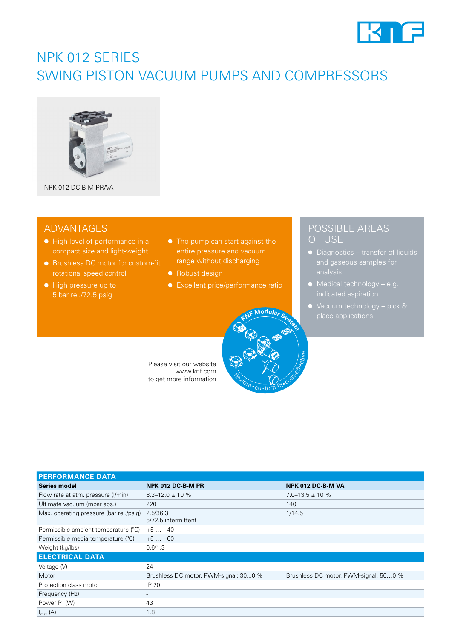

# NPK 012 SERIES SWING PISTON VACUUM PUMPS AND COMPRESSORS



NPK 012 DC-B-M PR/VA

## ADVANTAGES

- High level of performance in a compact size and light-weight
- Brushless DC motor for custom-fit rotational speed control
- High pressure up to 5 bar rel./72.5 psig
- The pump can start against the range without discharging
- Robust design
- Excellent price/performance ratio

**Flexible** 

custom-fit• cost-effective

**<sup>K</sup>N<sup>F</sup> <sup>M</sup>odula<sup>r</sup> <sup>S</sup>yste<sup>m</sup>**

## POSSIBLE AREAS OF USE

- Diagnostics transfer of liquids
- Medical technology e.g.
- Vacuum technology pick &

Please visit our website www.knf.com to get more information

| <b>PERFORMANCE DATA</b>                 |                                       |                                       |  |  |  |  |
|-----------------------------------------|---------------------------------------|---------------------------------------|--|--|--|--|
| <b>Series model</b>                     | NPK 012 DC-B-M PR                     | NPK 012 DC-B-M VA                     |  |  |  |  |
| Flow rate at atm. pressure (I/min)      | $8.3 - 12.0 \pm 10 \%$                | $7.0 - 13.5 \pm 10 \%$                |  |  |  |  |
| Ultimate vacuum (mbar abs.)             | 220                                   | 140                                   |  |  |  |  |
| Max. operating pressure (bar rel./psig) | 2.5/36.3<br>5/72.5 intermittent       | 1/14.5                                |  |  |  |  |
| Permissible ambient temperature (°C)    | $+5+40$                               |                                       |  |  |  |  |
| Permissible media temperature (°C)      | $+5+60$                               |                                       |  |  |  |  |
| Weight (kg/lbs)                         | 0.6/1.3                               |                                       |  |  |  |  |
| <b>ELECTRICAL DATA</b>                  |                                       |                                       |  |  |  |  |
| Voltage (V)                             | 24                                    |                                       |  |  |  |  |
| Motor                                   | Brushless DC motor, PWM-signal: 300 % | Brushless DC motor, PWM-signal: 500 % |  |  |  |  |
| Protection class motor                  | IP 20                                 |                                       |  |  |  |  |
| Frequency (Hz)                          |                                       |                                       |  |  |  |  |
| Power P <sub>1</sub> (W)                | 43                                    |                                       |  |  |  |  |
| $I_{\text{max}}(A)$                     | 1.8                                   |                                       |  |  |  |  |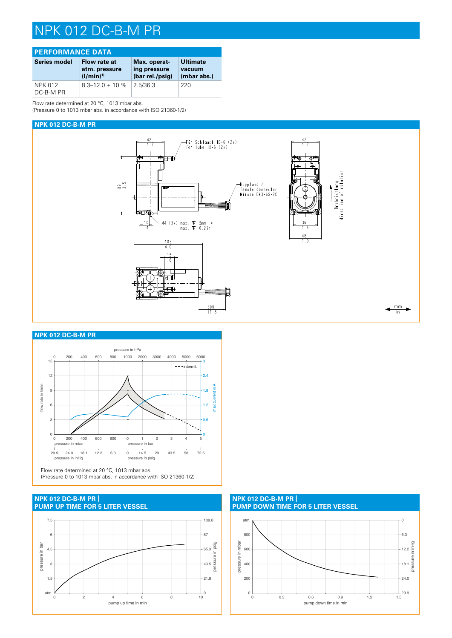# NPK 012 DC-B-M PR

| <b>PERFORMANCE DATA</b>     |                                                 |                                                 |                                   |  |  |
|-----------------------------|-------------------------------------------------|-------------------------------------------------|-----------------------------------|--|--|
| Series model                | Flow rate at<br>atm. pressure<br>$(1/\min)^{1}$ | Max. operat-<br>ing pressure<br>(bar rel./psig) | Ultimate<br>vacuum<br>(mbar abs.) |  |  |
| <b>NPK 012</b><br>DC-B-M PR | $8.3 - 12.0 \pm 10$ %                           | 2.5/36.3                                        | 220                               |  |  |

Flow rate determined at 20 °C, 1013 mbar abs.

(Pressure 0 to 1013 mbar abs. in accordance with ISO 21360-1/2)

### **NPK 012 DC-B-M PR**



#### **NPK 012 DC-B-M PR**



Flow rate determined at 20 °C, 1013 mbar abs. (Pressure 0 to 1013 mbar abs. in accordance with ISO 21360-1/2)

### **PUMP UP TIME FOR 5 LITER VESSEL NPK 012 DC-B-M PR |**



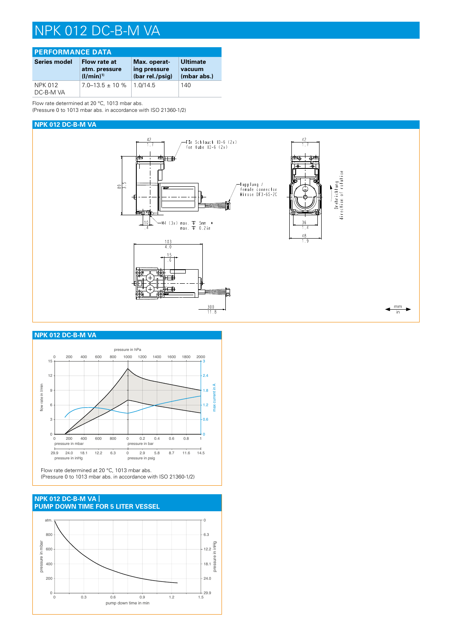# NPK 012 DC-B-M VA

| <b>PERFORMANCE DATA</b>     |                                                 |                                                 |                                          |  |  |
|-----------------------------|-------------------------------------------------|-------------------------------------------------|------------------------------------------|--|--|
| Series model                | Flow rate at<br>atm. pressure<br>$(1/\min)^{1}$ | Max. operat-<br>ing pressure<br>(bar rel./psig) | <b>Ultimate</b><br>vacuum<br>(mbar abs.) |  |  |
| <b>NPK 012</b><br>DC-B-M VA | $7.0 - 13.5 \pm 10 \%$                          | 1.0/14.5                                        | 140                                      |  |  |

Flow rate determined at 20 °C, 1013 mbar abs. (Pressure 0 to 1013 mbar abs. in accordance with ISO 21360-1/2)

#### **NPK 012 DC-B-M VA**



### **NPK 012 DC-B-M VA**



Flow rate determined at 20 °C, 1013 mbar abs. (Pressure 0 to 1013 mbar abs. in accordance with ISO 21360-1/2)